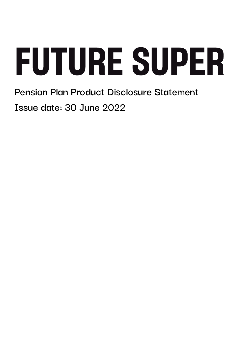**Pension Plan Product Disclosure Statement Issue date: 30 June 2022**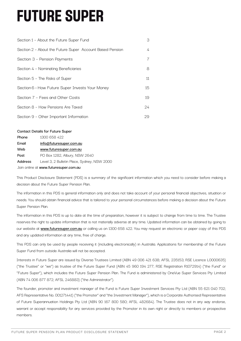| Section 1 - About the Future Super Fund                  | 3  |
|----------------------------------------------------------|----|
| Section 2 - About the Future Super Account Based Pension | 4  |
| Section 3 - Pension Payments                             | 7  |
| Section 4 - Nominating Beneficiaries                     | 8  |
| Section 5 - The Risks of Super                           | 11 |
| Section 6 - How Future Super Invests Your Money          | 15 |
| Section 7 - Fees and Other Costs                         | 19 |
| Section 8 - How Pensions Are Taxed                       | 24 |
| Section 9 - Other Important Information                  | 29 |

#### **Contact Details for Future Super**

| Phone                                 | 1300 658 422                                |  |
|---------------------------------------|---------------------------------------------|--|
| Email                                 | info@futuresuper.com.au                     |  |
| Web                                   | www.futuresuper.com.au                      |  |
| Post                                  | PO Box 1282, Albury, NSW 2640               |  |
| <b>Address</b>                        | Level 3, 2 Bulletin Place, Sydney, NSW 2000 |  |
| Join online at www.futuresuper.com.au |                                             |  |

This Product Disclosure Statement (PDS) is a summary of the significant information which you need to consider before making a decision about the Future Super Pension Plan.

The information in this PDS is general information only and does not take account of your personal financial objectives, situation or needs. You should obtain financial advice that is tailored to your personal circumstances before making a decision about the Future Super Pension Plan.

The information in this PDS is up to date at the time of preparation, however it is subject to change from time to time. The Trustee reserves the right to update information that is not materially adverse at any time. Updated information can be obtained by going to our website at **www.futuresuper.com.au** or calling us on 1300 658 422. You may request an electronic or paper copy of this PDS and any updated information at any time, free of charge.

This PDS can only be used by people receiving it (including electronically) in Australia. Applications for membership of the Future Super Fund from outside Australia will not be accepted.

Interests in Future Super are issued by Diversa Trustees Limited (ABN 49 006 421 638; AFSL 235153; RSE Licence L0000635) ("the Trustee" or "we") as trustee of the Future Super Fund (ABN 45 960 194 277; RSE Registration R1072914) ("the Fund" or "Future Super"), which includes the Future Super Pension Plan. The Fund is administered by OneVue Super Services Pty Limited (ABN 74 006 877 872; AFSL 246883) ("the Administrator").

The founder, promoter and investment manager of the Fund is Future Super Investment Services Pty Ltd (ABN 55 621 040 702; AFS Representative No. 001271441) ("the Promoter" and "the Investment Manager"), which is a Corporate Authorised Representative of Future Superannuation Holdings Pty Ltd (ABN 90 167 800 580; AFSL 482684). The Trustee does not in any way endorse, warrant or accept responsibility for any services provided by the Promoter in its own right or directly to members or prospective members.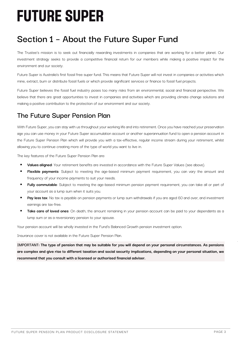## **Section 1 – About the Future Super Fund**

The Trustee's mission is to seek out financially rewarding investments in companies that are working for a better planet. Our investment strategy seeks to provide a competitive financial return for our members while making a positive impact for the environment and our society.

Future Super is Australia's first fossil free super fund. This means that Future Super will not invest in companies or activities which mine, extract, burn or distribute fossil fuels or which provide significant services or finance to fossil fuel projects.

Future Super believes the fossil fuel industry poses too many risks from an environmental, social and financial perspective. We believe that there are great opportunities to invest in companies and activities which are providing climate change solutions and making a positive contribution to the protection of our environment and our society.

## **The Future Super Pension Plan**

With Future Super, you can stay with us throughout your working life and into retirement. Once you have reached your preservation age you can use money in your Future Super accumulation account or another superannuation fund to open a pension account in the Future Super Pension Plan which will provide you with a tax-effective, regular income stream during your retirement, whilst allowing you to continue creating more of the type of world you want to live in.

The key features of the Future Super Pension Plan are:

- **Values aligned**: Your retirement benefits are invested in accordance with the Future Super Values (see above).
- **Flexible payments:** Subject to meeting the age-based minimum payment requirement, you can vary the amount and frequency of your income payments to suit your needs.
- **Fully commutable**: Subject to meeting the age-based minimum pension payment requirement, you can take all or part of your account as a lump sum when it suits you.
- Pay less tax: No tax is payable on pension payments or lump sum withdrawals if you are aged 60 and over, and investment earnings are tax-free.
- **Take care of loved ones:** On death, the amount remaining in your pension account can be paid to your dependants as a lump sum or as a reversionary pension to your spouse.

Your pension account will be wholly invested in the Fund's Balanced Growth pension investment option.

Insurance cover is not available in the Future Super Pension Plan.

**IMPORTANT: The type of pension that may be suitable for you will depend on your personal circumstances. As pensions are complex and give rise to different taxation and social security implications, depending on your personal situation, we recommend that you consult with a licensed or authorised financial adviser.**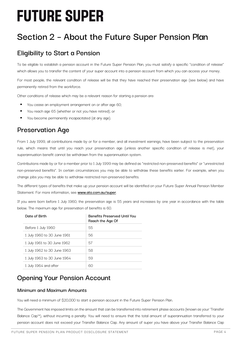## **Section 2 – About the Future Super Pension Plan**

## **Eligibility to Start a Pension**

To be eligible to establish a pension account in the Future Super Pension Plan, you must satisfy a specific "condition of release" which allows you to transfer the content of your super account into a pension account from which you can access your money.

For most people, the relevant condition of release will be that they have reached their preservation age (see below) and have permanently retired from the workforce.

Other conditions of release which may be a relevant reason for starting a pension are:

- You cease an employment arrangement on or after age 60;
- You reach age 65 (whether or not you have retired); or
- You become permanently incapacitated (at any age).

## **Preservation Age**

From 1 July 1999, all contributions made by or for a member, and all investment earnings, have been subject to the preservation rule, which means that until you reach your preservation age (unless another specific condition of release is met), your superannuation benefit cannot be withdrawn from the superannuation system.

Contributions made by or for a member prior to 1 July 1999 may be defined as "restricted non-preserved benefits" or "unrestricted non-preserved benefits". In certain circumstances you may be able to withdraw these benefits earlier. For example, when you change jobs you may be able to withdraw restricted non-preserved benefits.

The different types of benefits that make up your pension account will be identified on your Future Super Annual Pension Member Statement. For more information, see **www.ato.com.au/super**.

If you were born before 1 July 1960, the preservation age is 55 years and increases by one year in accordance with the table below. The maximum age for preservation of benefits is 60.

| Date of Birth               | <b>Benefits Preserved Until You</b><br>Reach the Age Of |
|-----------------------------|---------------------------------------------------------|
| Before 1 July 1960          | 55                                                      |
| 1 July 1960 to 30 June 1961 | 56                                                      |
| 1 July 1961 to 30 June 1962 | 57                                                      |
| 1 July 1962 to 30 June 1963 | 58                                                      |
| 1 July 1963 to 30 June 1964 | 59                                                      |
| 1 July 1964 and after       | 60                                                      |

## **Opening Your Pension Account**

## **Minimum and Maximum Amounts**

You will need a minimum of \$20,000 to start a pension account in the Future Super Pension Plan.

The Government has imposed limits on the amount that can be transferred into retirement phase accounts (known as your 'Transfer Balance Cap'\*), without incurring a penalty. You will need to ensure that the total amount of superannuation transferred to your pension account does not exceed your Transfer Balance Cap. Any amount of super you have above your Transfer Balance Cap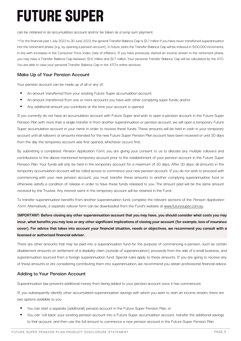can be retained in an accumulation account and/or be taken as a lump sum payment.

\* For the financial year 1 July 2022 to 30 June 2023, the general Transfer Balance Cap is \$1.7 million if you have never transferred superannuation into the retirement phase (e.g., by opening a pension account). In future years the Transfer Balance Cap will be indexed in \$100,000 increments, in line with increases in the Consumer Price Index (rate of inflation). If you have previously started an income stream in the retirement phase, you may have a Transfer Balance Cap between \$1.6 million and \$1.7 million. Your personal Transfer Balance Cap will be calculated by the ATO. You are able to view your personal Transfer Balance Cap in the ATO's online services.

## **Make Up of Your Pension Account**

Your pension account can be made up of all or any of:

- An amount transferred from your existing Future Super accumulation account;
- § An amount transferred from one or more accounts you have with other complying super funds; and/or
- § Any additional amount you contribute at the time your account is opened.

If you currently do not have an accumulation account with Future Super and wish to open a pension account in the Future Super Pension Plan with more than a single transfer in from another superannuation or pension account, we will open a temporary Future Super accumulation account in your name in order to receive these funds. These amounts will be held in cash in your temporary account until all rollovers or amounts intended for the new Future Super Pension Plan account have been received or until 30 days from the day the temporary account was first opened, whichever occurs first.

By submitting a completed Pension Application Form, you are giving your consent to us to allocate any multiple rollovers and contributions to the above-mentioned temporary account prior to the establishment of your pension account in the Future Super Pension Plan. Your funds will only be held in the temporary account for a maximum of 30 days. After 30 days, all amounts in the temporary accumulation account will be rolled across to commence your new pension account. If you do not wish to proceed with commencing with your new pension account, you must transfer these amounts to another complying superannuation fund or otherwise satisfy a condition of release in order to have these funds released to you. The amount paid will be the same amount received by the Trustee. Any interest earnt in the temporary account will be retained in the Fund.

To transfer superannuation benefits from another superannuation fund, complete the relevant sections of the Pension Application Form. Alternatively, a separate rollover form can be downloaded from the Fund's website at www.futuresuper.com.au.

**IMPORTANT: Before closing any other superannuation account that you may have, you should consider what costs you may incur, what benefits you may lose or any other significant implications of closing your account (for example, loss of insurance cover). For advice that takes into account your financial situation, needs or objectives, we recommend you consult with a licensed or authorised financial adviser.**

There are other amounts that may be paid into a superannuation fund for the purpose of commencing a pension, such as certain disablement amounts on settlement of a disability claim (outside of superannuation), proceeds from the sale of a small business, and superannuation sourced from a foreign superannuation fund. Special rules apply to these amounts. If you are going to receive any of these amounts or are considering contributing them into superannuation, we recommend you obtain professional financial advice.

### **Adding to Your Pension Account**

Superannuation law prevents additional money from being added to your pension account once it has commenced.

If, you subsequently identify other accumulated superannuation savings with which you want to start an income stream, there are two options available to you:

- § You can start a separate (additional) pension account in the Future Super Pension Plan; or
- You can 'roll back' your existing pension account into a Future Super accumulation account, transfer the additional savings to that account, and then use the full amount to commence a new pension account in the Future Super Pension Plan.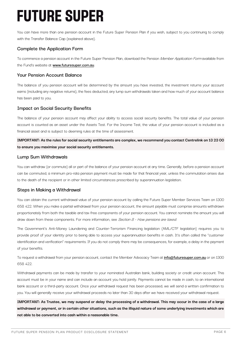You can have more than one pension account in the Future Super Pension Plan if you wish, subject to you continuing to comply with the Transfer Balance Cap (explained above).

### **Complete the Application Form**

To commence a pension account in the Future Super Pension Plan, download the Pension Member Application Form available from the Fund's website at **www.futuresuper.com.au**.

#### **Your Pension Account Balance**

The balance of you pension account will be determined by the amount you have invested, the investment returns your account earns (including any negative returns), the fees deducted, any lump sum withdrawals taken and how much of your account balance has been paid to you.

### **Impact on Social Security Benefits**

The balance of your pension account may affect your ability to access social security benefits. The total value of your pension account is counted as an asset under the Assets Test. For the Income Test, the value of your pension account is included as a financial asset and is subject to deeming rules at the time of assessment.

### **IMPORTANT: As the rules for social security entitlements are complex, we recommend you contact Centrelink on 13 23 00 to ensure you maximise your social security entitlements.**

#### **Lump Sum Withdrawals**

You can withdraw (or commute) all or part of the balance of your pension account at any time. Generally, before a pension account can be commuted, a minimum pro-rata pension payment must be made for that financial year, unless the commutation arises due to the death of the recipient or in other limited circumstances prescribed by superannuation legislation.

#### **Steps in Making a Withdrawal**

You can obtain the current withdrawal value of your pension account by calling the Future Super Member Services Team on 1300 658 422. When you make a partial withdrawal from your pension account, the amount payable must comprise amounts withdrawn proportionately from both the taxable and tax-free components of your pension account. You cannot nominate the amount you will draw down from these components. For more information, see Section 8 - How pensions are taxed.

The Government's Anti-Money Laundering and Counter-Terrorism Financing legislation (AML/CTF legislation) requires you to provide proof of your identity prior to being able to access your superannuation benefits in cash. It's often called the "customer identification and verification" requirements. If you do not comply there may be consequences, for example, a delay in the payment of your benefits.

To request a withdrawal from your pension account, contact the Member Advocacy Team at **info@futuresuper.com.au** or on 1300 658 422.

Withdrawal payments can be made by transfer to your nominated Australian bank, building society or credit union account. This account must be in your name and can include an account you hold jointly. Payments cannot be made in cash, to an international bank account or a third-party account. Once your withdrawal request has been processed, we will send a written confirmation to you. You will generally receive your withdrawal proceeds no later than 30 days after we have received your withdrawal request.

**IMPORTANT: As Trustee, we may suspend or delay the processing of a withdrawal. This may occur in the case of a large withdrawal or payment, or in certain other situations, such as the illiquid nature of some underlying investments which are not able to be converted into cash within a reasonable time.**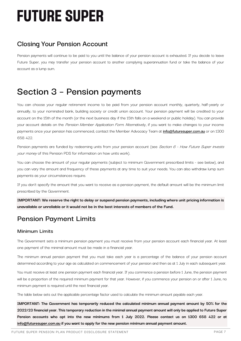## **Closing Your Pension Account**

Pension payments will continue to be paid to you until the balance of your pension account is exhausted. If you decide to leave Future Super, you may transfer your pension account to another complying superannuation fund or take the balance of your account as a lump sum.

## **Section 3 – Pension payments**

You can choose your regular retirement income to be paid from your pension account monthly, quarterly, half-yearly or annually, to your nominated bank, building society or credit union account. Your pension payment will be credited to your account on the 15th of the month (or the next business day if the 15th falls on a weekend or public holiday). You can provide your account details on the Pension Member Application Form. Alternatively, if you want to make changes to your income payments once your pension has commenced, contact the Member Advocacy Team at **info@futuresuper.com.au** or on 1300 658 422.

Pension payments are funded by redeeming units from your pension account (see Section 6 - How Future Super invests your money of this Pension PDS for information on how units work).

You can choose the amount of your regular payments (subject to minimum Government prescribed limits - see below), and you can vary the amount and frequency of these payments at any time to suit your needs. You can also withdraw lump sum payments as your circumstances require.

If you don't specify the amount that you want to receive as a pension payment, the default amount will be the minimum limit prescribed by the Government.

**IMPORTANT: We reserve the right to delay or suspend pension payments, including where unit pricing information is unavailable or unreliable or it would not be in the best interests of members of the Fund.**

## **Pension Payment Limits**

### **Minimum Limits**

The Government sets a minimum pension payment you must receive from your pension account each financial year. At least one payment of the minimal amount must be made in a financial year.

The minimum annual pension payment that you must take each year is a percentage of the balance of your pension account determined according to your age as calculated on commencement of your pension and then as at 1 July in each subsequent year.

You must receive at least one pension payment each financial year. If you commence a pension before 1 June, the pension payment will be a proportion of the required minimum payment for that year. However, if you commence your pension on or after 1 June, no minimum payment is required until the next financial year.

The table below sets out the applicable percentage factor used to calculate the minimum amount payable each year.

**IMPORTANT: The Government has temporarily reduced the calculated minimum annual payment amount by 50% for the 2022/23 financial year. This temporary reduction in the minimal annual payment amount will only be applied to Future Super Pension accounts who opt into the new minimums from 1 July 2022. Please contact us on 1300 658 422 or at info@futuresuper.com.au if you want to apply for the new pension minimum annual payment amount.**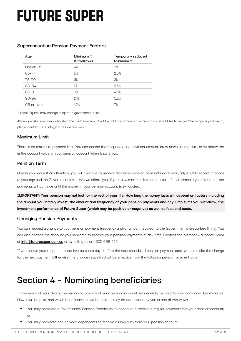### **Superannuation Pension Payment Factors**

| Aqe        | Minimum %<br>Withdrawal | Temporary reduced<br>Minimum % |
|------------|-------------------------|--------------------------------|
| Under 65   | 4%                      | 2%                             |
| 65-74      | 5%                      | 2.5%                           |
| 75-79      | 6%                      | 3%                             |
| 80-84      | 7%                      | 3.5%                           |
| 85-89      | 9%                      | 4.5%                           |
| $90 - 94$  | 11%                     | 5.5%                           |
| 95 or over | 14%                     | 7%                             |

\* These figures may change subject to government rules.

All new pension members who elect the minimum amount will be paid the standard minimum. If you would like to be paid the temporary minimum, please contact us at info@futuresuper.com.au.

#### **Maximum Limit**

There is no maximum payment limit. You can decide the frequency and payment amount, draw down a lump sum, or withdraw the entire account value of your pension account when it suits you.

#### **Pension Term**

Unless you request an alteration, you will continue to receive the same pension payments each year, adjusted to reflect changes to your age and the Government limits. We will inform you of your new minimum limit at the start of each financial year. Your pension payments will continue until the money in your pension account is exhausted.

**IMPORTANT: Your pension may not last for the rest of your life. How long the money lasts will depend on factors including the amount you initially invest, the amount and frequency of your pension payments and any lump sums you withdraw, the investment performance of Future Super (which may be positive or negative) as well as fees and costs.**

#### **Changing Pension Payments**

You can request a change to your pension payment frequency and/or amount (subject to the Government's prescribed limits). You can also change the account you nominate to receive your pension payments at any time. Contact the Member Advocacy Team at **info@futuresuper.com.au** or by calling us on 1300 658 422.

If we receive your request at least five business days before the next scheduled pension payment date, we can make the change for the next payment. Otherwise, the change requested will be effective from the following pension payment date.

## **Section 4 – Nominating beneficiaries**

In the event of your death, the remaining balance of your pension account will generally be paid to your nominated beneficiaries. How it will be paid, and which beneficiaries it will be paid to, may be determined by you in one of two ways:

- You may nominate a Reversionary Pension Beneficiary to continue to receive a regular payment from your pension account; or
- You may nominate one or more dependants to receive a lump sum from your pension account.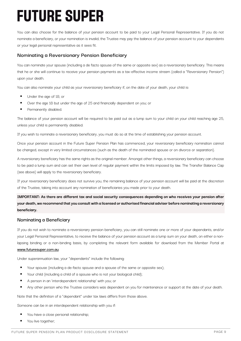You can also choose for the balance of your pension account to be paid to your Legal Personal Representative. If you do not nominate a beneficiary, or your nomination is invalid, the Trustee may pay the balance of your pension account to your dependants or your legal personal representative as it sees fit.

### **Nominating a Reversionary Pension Beneficiary**

You can nominate your spouse (including a de facto spouse of the same or opposite sex) as a reversionary beneficiary. This means that he or she will continue to receive your pension payments as a tax-effective income stream (called a "Reversionary Pension") upon your death.

You can also nominate your child as your reversionary beneficiary if, on the date of your death, your child is:

- Under the age of 18; or
- Over the age 18 but under the age of 25 and financially dependent on you; or
- Permanently disabled.

The balance of your pension account will be required to be paid out as a lump sum to your child on your child reaching age 25, unless your child is permanently disabled.

If you wish to nominate a reversionary beneficiary, you must do so at the time of establishing your pension account.

Once your pension account in the Future Super Pension Plan has commenced, your reversionary beneficiary nomination cannot be changed, except in very limited circumstances (such as the death of the nominated spouse or on divorce or separation).

A reversionary beneficiary has the same rights as the original member. Amongst other things, a reversionary beneficiary can choose to be paid a lump sum and can set their own level of regular payment within the limits imposed by law. The Transfer Balance Cap (see above) will apply to the reversionary beneficiary.

If your reversionary beneficiary does not survive you, the remaining balance of your pension account will be paid at the discretion of the Trustee, taking into account any nomination of beneficiaries you made prior to your death.

**IMPORTANT: As there are different tax and social security consequences depending on who receives your pension after your death, we recommend that you consult with a licensed or authorised financial adviser before nominating a reversionary beneficiary.**

### **Nominating a Beneficiary**

If you do not wish to nominate a reversionary pension beneficiary, you can still nominate one or more of your dependants, and/or your Legal Personal Representative, to receive the balance of your pension account as a lump sum on your death, on either a nonlapsing binding or a non-binding basis, by completing the relevant form available for download from the Member Portal at **www.futuresuper.com.au**.

Under superannuation law, your "dependants" include the following:

- Your spouse (including a de-facto spouse and a spouse of the same or opposite sex);
- Your child (including a child of a spouse who is not your biological child);
- A person in an 'interdependent relationship' with you; or
- Any other person who the Trustee considers was dependent on you for maintenance or support at the date of your death.

Note that the definition of a "dependant" under tax laws differs from those above.

Someone can be in an interdependent relationship with you if:

- You have a close personal relationship;
- You live together;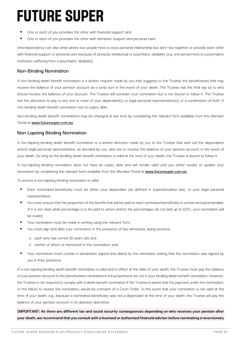- One or each of you provides the other with financial support; and
- One or each of you provides the other with domestic support and personal care.

Interdependency can also arise where two people have a close personal relationship but don't live together or provide each other with financial support or personal care because of physical, intellectual or psychiatric disability (e.g. one person lives in a psychiatric institution suffering from a psychiatric disability).

### **Non-Binding Nomination**

A non-binding death benefit nomination is a written request made by you that suggests to the Trustee the beneficiaries that may receive the balance of your pension account as a lump sum in the event of your death. The Trustee has the final say as to who should receive the balance of your account. The Trustee will consider your nomination but is not bound to follow it. The Trustee has the discretion to pay to any one or more of your dependant(s) or legal personal representative(s) or a combination of both. A non-binding death benefit nomination has no expiry date.

Non-binding death benefit nominations may be changed at any time by completing the relevant form available from the Member Portal at **www.futuresuper.com.au**.

### **Non-Lapsing Binding Nomination**

A non-lapsing binding death benefit nomination is a written direction made by you to the Trustee that sets out the dependants and/or legal personal representative, as decided by you, who are to receive the balance of your pension account in the event of your death. So long as the binding death benefit nomination is valid at the time of your death, the Trustee is bound to follow it.

A non-lapsing binding nomination does not have an expiry date and will remain valid until you either revoke or update your nomination by completing the relevant form available from the Member Portal at **www.futuresuper.com.au**.

To ensure a non-lapsing binding nomination is valid:

- § Each nominated beneficiary must be either your dependant (as defined in superannuation law), or your legal personal representative;
- You must ensure that the proportion of the benefit that will be paid to each nominated beneficiary is certain and ascertainable. If it is not clear what percentage is to be paid to whom and/or the percentages do not add up to 100%, your nomination will be invalid;
- Your nomination must be made in writing using the relevant form;
- You must sign and date your nomination in the presence of two witnesses, being persons:
	- o each who has turned 18 years old; and
	- o neither of whom is mentioned in the nomination; and
- Your nomination must contain a declaration signed and dated by the witnesses stating that the nomination was signed by you in their presence.

If a non-lapsing binding death benefit nomination is valid and in effect at the date of your death, the Trustee must pay the balance of your pension account to the beneficiaries nominated in the proportions set out in your binding death benefit nomination. However, the Trustee is not required to comply with a death benefit nomination if the Trustee is aware that the payment under the nomination, or the failure to revoke the nomination, would be a breach of a Court Order. In the event that your nomination is not valid at the time of your death, e.g., because a nominated beneficiary was not a dependant at the time of your death, the Trustee will pay the balance of your pension account in its absolute discretion.

**IMPORTANT: As there are different tax and social security consequences depending on who receives your pension after your death, we recommend that you consult with a licensed or authorised financial adviser before nominating a reversionary**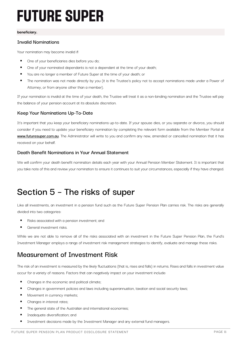#### **beneficiary.**

### **Invalid Nominations**

Your nomination may become invalid if:

- One of your beneficiaries dies before you do;
- One of your nominated dependants is not a dependant at the time of your death;
- § You are no longer a member of Future Super at the time of your death; or
- The nomination was not made directly by you (it is the Trustee's policy not to accept nominations made under a Power of Attorney, or from anyone other than a member).

If your nomination is invalid at the time of your death, the Trustee will treat it as a non-binding nomination and the Trustee will pay the balance of your pension account at its absolute discretion.

## **Keep Your Nominations Up-To-Date**

It's important that you keep your beneficiary nominations up-to-date. If your spouse dies, or you separate or divorce, you should consider if you need to update your beneficiary nomination by completing the relevant form available from the Member Portal at **www.futuresuper.com.au**. The Administrator will write to you and confirm any new, amended or cancelled nomination that it has received on your behalf.

### **Death Benefit Nominations in Your Annual Statement**

We will confirm your death benefit nomination details each year with your Annual Pension Member Statement. It is important that you take note of this and review your nomination to ensure it continues to suit your circumstances, especially if they have changed.

## **Section 5 – The risks of super**

Like all investments, an investment in a pension fund such as the Future Super Pension Plan carries risk. The risks are generally divided into two categories:

- Risks associated with a pension investment; and
- General investment risks.

While we are not able to remove all of the risks associated with an investment in the Future Super Pension Plan, the Fund's Investment Manager employs a range of investment risk management strategies to identify, evaluate and manage these risks.

## **Measurement of Investment Risk**

The risk of an investment is measured by the likely fluctuations (that is, rises and falls) in returns. Rises and falls in investment value occur for a variety of reasons. Factors that can negatively impact on your investment include:

- Changes in the economic and political climate:
- **•** Changes in government policies and laws including superannuation, taxation and social security laws;
- Movement in currency markets;
- § Changes in interest rates;
- The general state of the Australian and international economies;
- Inadequate diversification; and
- Investment decisions made by the Investment Manager and any external fund managers.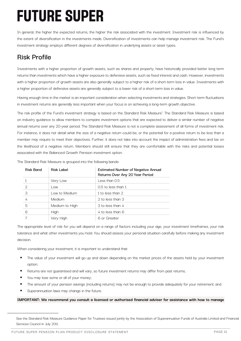In general, the higher the expected returns, the higher the risk associated with the investment. Investment risk is influenced by the extent of diversification in the investments made. Diversification of investments can help manage investment risk. The Fund's investment strategy employs different degrees of diversification in underlying assets or asset types.

## **Risk Profile**

Investments with a higher proportion of growth assets, such as shares and property, have historically provided better long-term returns than investments which have a higher exposure to defensive assets, such as fixed interest and cash. However, investments with a higher proportion of growth assets are also generally subject to a higher risk of a short-term loss in value. Investments with a higher proportion of defensive assets are generally subject to a lower risk of a short-term loss in value.

Having enough time in the market is an important consideration when selecting investments and strategies. Short-term fluctuations in investment returns are generally less important when your focus is on achieving a long-term growth objective.

The risk profile of the Fund's investment strategy is based on the Standard Risk Measure<sup>1</sup>. The Standard Risk Measure is based on industry guidance to allow members to compare investment options that are expected to deliver a similar number of negative annual returns over any 20-year period. The Standard Risk Measure is not a complete assessment of all forms of investment risk. For instance, it does not detail what the size of a negative return could be, or the potential for a positive return to be less than a member may require to meet their objectives. Further, it does not take into account the impact of administration fees and tax on the likelihood of a negative return. Members should still ensure that they are comfortable with the risks and potential losses associated with the Balanced Growth Pension investment option.

| <b>Risk Band</b> | Risk Label     | <b>Estimated Number of Negative Annual</b><br>Returns Over Any 20 Year Period |
|------------------|----------------|-------------------------------------------------------------------------------|
|                  | Very Low       | Less than 0.5                                                                 |
| $\mathcal{D}$    | Low            | $0.5$ to less than 1                                                          |
| 3                | Low to Medium  | 1 to less than 2                                                              |
|                  | <b>Medium</b>  | 2 to less than 3                                                              |
| 5                | Medium to High | 3 to less than 4                                                              |
| 6                | High           | 4 to less than 6                                                              |
|                  | Very High      | 6 or Greater                                                                  |

The Standard Risk Measure is grouped into the following bands:

The appropriate level of risk for you will depend on a range of factors including your age, your investment timeframes, your risk tolerance and what other investments you hold. You should assess your personal situation carefully before making any investment decision.

When considering your investment, it is important to understand that:

- The value of your investment will go up and down depending on the market prices of the assets held by your investment option;
- Returns are not quaranteed and will vary, so future investment returns may differ from past returns;
- You may lose some or all of your money;
- The amount of your pension savings (including returns) may not be enough to provide adequately for your retirement; and
- § Superannuation laws may change in the future.

#### **IMPORTANT: We recommend you consult a licensed or authorised financial adviser for assistance with how to manage**

See the Standard Risk Measure Guidance Paper for Trustees issued jointly by the Association of Superannuation Funds of Australia Limited and Financial Services Council in July 2011.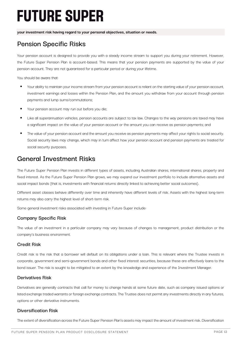**your investment risk having regard to your personal objectives, situation or needs.**

## **Pension Specific Risks**

Your pension account is designed to provide you with a steady income stream to support you during your retirement. However, the Future Super Pension Plan is account-based. This means that your pension payments are supported by the value of your pension account. They are not guaranteed for a particular period or during your lifetime.

You should be aware that:

- Your ability to maintain your income stream from your pension account is reliant on the starting value of your pension account, investment earnings and losses within the Pension Plan, and the amount you withdraw from your account through pension payments and lump sums/commutations;
- Your pension account may run out before you die;
- Like all superannuation vehicles, pension accounts are subject to tax law. Changes to the way pensions are taxed may have a significant impact on the value of your pension account or the amount you can receive as pension payments; and
- The value of your pension account and the amount you receive as pension payments may affect your rights to social security. Social security laws may change, which may in turn affect how your pension account and pension payments are treated for social security purposes.

## **General Investment Risks**

The Future Super Pension Plan invests in different types of assets, including Australian shares, international shares, property and fixed interest. As the Future Super Pension Plan grows, we may expand our investment portfolio to include alternative assets and social impact bonds (that is, investments with financial returns directly linked to achieving better social outcomes).

Different asset classes behave differently over time and inherently have different levels of risk. Assets with the highest long-term returns may also carry the highest level of short-term risk.

Some general investment risks associated with investing in Future Super include:

#### **Company Specific Risk**

The value of an investment in a particular company may vary because of changes to management, product distribution or the company's business environment.

#### **Credit Risk**

Credit risk is the risk that a borrower will default on its obligations under a loan. This is relevant where the Trustee invests in corporate, government and semi-government bonds and other fixed interest securities, because these are effectively loans to the bond issuer. The risk is sought to be mitigated to an extent by the knowledge and experience of the Investment Manager.

#### **Derivatives Risk**

Derivatives are generally contracts that call for money to change hands at some future date, such as company issued options or listed exchange traded warrants or foreign exchange contracts. The Trustee does not permit any investments directly in any futures, options or other derivative instruments.

#### **Diversification Risk**

The extent of diversification across the Future Super Pension Plan's assets may impact the amount of investment risk. Diversification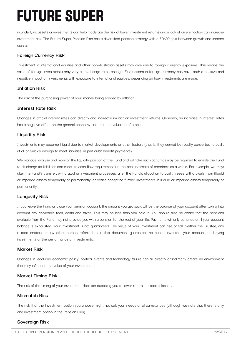in underlying assets or investments can help moderate the risk of lower investment returns and a lack of diversification can increase investment risk. The Future Super Pension Plan has a diversified pension strategy with a 70/30 split between growth and income assets.

### **Foreign Currency Risk**

Investment in international equities and other non-Australian assets may give rise to foreign currency exposure. This means the value of foreign investments may vary as exchange rates change. Fluctuations in foreign currency can have both a positive and negative impact on investments with exposure to international equities, depending on how investments are made.

### **Inflation Risk**

The risk of the purchasing power of your money being eroded by inflation.

### **Interest Rate Risk**

Changes in official interest rates can directly and indirectly impact on investment returns. Generally, an increase in interest rates has a negative effect on the general economy and thus the valuation of stocks.

### **Liquidity Risk**

Investments may become illiquid due to market developments or other factors (that is, they cannot be readily converted to cash, at all or quickly enough to meet liabilities, in particular benefit payments).

We manage, analyse and monitor the liquidity position of the Fund and will take such action as may be required to enable the Fund to discharge its liabilities and meet its cash flow requirements in the best interests of members as a whole. For example, we may: alter the Fund's transfer, withdrawal or investment processes; alter the Fund's allocation to cash; freeze withdrawals from illiquid or impaired assets temporarily or permanently; or cease accepting further investments in illiquid or impaired assets temporarily or permanently.

### **Longevity Risk**

If you leave the Fund or close your pension account, the amount you get back will be the balance of your account after taking into account any applicable fees, costs and taxes. This may be less than you paid in. You should also be aware that the pensions available from the Fund may not provide you with a pension for the rest of your life. Payments will only continue until your account balance is exhausted. Your investment is not guaranteed. The value of your investment can rise or fall. Neither the Trustee, any related entities or any other person referred to in this document guarantee the capital invested, your account, underlying investments or the performance of investments.

### **Market Risk**

Changes in legal and economic policy, political events and technology failure can all directly or indirectly create an environment that may influence the value of your investments.

### **Market Timing Risk**

The risk of the timing of your investment decision exposing you to lower returns or capital losses.

### **Mismatch Risk**

The risk that the investment option you choose might not suit your needs or circumstances (although we note that there is only one investment option in the Pension Plan).

### **Sovereign Risk**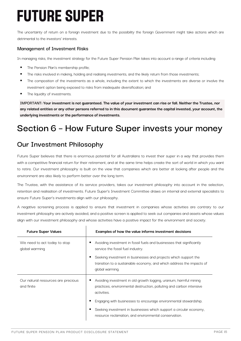The uncertainty of return on a foreign investment due to the possibility the foreign Government might take actions which are detrimental to the investors' interests.

### **Management of Investment Risks**

In managing risks, the investment strategy for the Future Super Pension Plan takes into account a range of criteria including:

- **The Pension Plan's membership profile;**
- The risks involved in making, holding and realising investments, and the likely return from those investments;
- The composition of the investments as a whole, including the extent to which the investments are diverse or involve the investment option being exposed to risks from inadequate diversification; and
- The liquidity of investments.

**IMPORTANT: Your investment is not guaranteed. The value of your investment can rise or fall. Neither the Trustee, nor any related entities or any other persons referred to in this document guarantee the capital invested, your account, the underlying investments or the performance of investments.**

## **Section 6 – How Future Super invests your money**

## **Our Investment Philosophy**

Future Super believes that there is enormous potential for all Australians to invest their super in a way that provides them with a competitive financial return for their retirement, and at the same time helps create the sort of world in which you want to retire. Our investment philosophy is built on the view that companies which are better at looking after people and the environment are also likely to perform better over the long term.

The Trustee, with the assistance of its service providers, takes our investment philosophy into account in the selection, retention and realisation of investments. Future Super's Investment Committee draws on internal and external specialists to ensure Future Super's investments align with our philosophy.

A negative screening process is applied to ensure that investment in companies whose activities are contrary to our investment philosophy are actively avoided, and a positive screen is applied to seek out companies and assets whose values align with our investment philosophy and whose activities have a positive impact for the environment and society.

| <b>Future Super Values</b>                       | Examples of how the value informs investment decisions                                                                                                      |
|--------------------------------------------------|-------------------------------------------------------------------------------------------------------------------------------------------------------------|
| We need to act today to stop<br>global warming   | Avoiding investment in fossil fuels and businesses that significantly<br>service the fossil fuel industry.                                                  |
|                                                  | Seeking investment in businesses and projects which support the<br>transition to a sustainable economy, and which address the impacts of<br>global warming. |
| Our natural resources are precious<br>and finite | Avoiding investment in old growth logging, uranium, harmful mining<br>practices, environmental destruction, polluting and carbon intensive<br>activities.   |
|                                                  | Engaging with businesses to encourage environmental stewardship.                                                                                            |
|                                                  | Seeking investment in businesses which support a circular economy,<br>resource reclamation, and environmental conservation.                                 |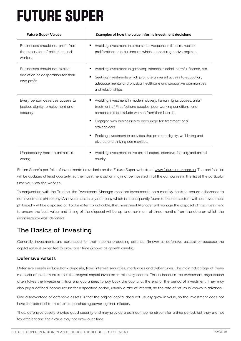| <b>Future Super Values</b>                                                        | Examples of how the value informs investment decisions                                                                                                                                                                                                                                                                                                                                  |
|-----------------------------------------------------------------------------------|-----------------------------------------------------------------------------------------------------------------------------------------------------------------------------------------------------------------------------------------------------------------------------------------------------------------------------------------------------------------------------------------|
| Businesses should not profit from<br>the expansion of militarism and<br>warfare   | Avoiding investment in armaments, weapons, militarism, nuclear<br>proliferation, or in businesses which support regressive regimes.                                                                                                                                                                                                                                                     |
| Businesses should not exploit<br>addiction or desperation for their<br>own profit | Avoiding investment in gambling, tobacco, alcohol, harmful finance, etc.<br>Seeking investments which promote universal access to education,<br>adequate mental and physical healthcare and supportive communities<br>and relationships.                                                                                                                                                |
| Every person deserves access to<br>justice, dignity, employment and<br>security   | Avoiding investment in modern slavery, human rights abuses, unfair<br>treatment of First Nations peoples, poor working conditions, and<br>companies that exclude women from their boards.<br>Engaging with businesses to encourage fair treatment of all<br>stakeholders.<br>Seeking investment in activities that promote dignity, well-being and<br>diverse and thriving communities. |
| Unnecessary harm to animals is<br>wrong                                           | Avoiding investment in live animal export, intensive farming, and animal<br>cruelty.                                                                                                                                                                                                                                                                                                    |

Future Super's portfolio of investments is available on the Future Super website at www.futuresuper.com.au. The portfolio list will be updated at least quarterly, so the investment option may not be invested in all the companies in the list at the particular time you view the website.

In conjunction with the Trustee, the Investment Manager monitors investments on a monthly basis to ensure adherence to our investment philosophy. An investment in any company which is subsequently found to be inconsistent with our investment philosophy will be disposed of. To the extent practicable, the Investment Manager will manage the disposal of the investment to ensure the best value, and timing of the disposal will be up to a maximum of three months from the date on which the inconsistency was identified.

## **The Basics of Investing**

Generally, investments are purchased for their income producing potential (known as defensive assets) or because the capital value is expected to grow over time (known as growth assets).

## **Defensive Assets**

Defensive assets include bank deposits, fixed interest securities, mortgages and debentures. The main advantage of these methods of investment is that the original capital invested is relatively secure. This is because the investment organisation often takes the investment risks and guarantees to pay back the capital at the end of the period of investment. They may also pay a defined income return for a specified period, usually a rate of interest, so the rate of return is known in advance.

One disadvantage of defensive assets is that the original capital does not usually grow in value, so the investment does not have the potential to maintain its purchasing power against inflation.

Thus, defensive assets provide good security and may provide a defined income stream for a time period, but they are not tax efficient and their value may not grow over time.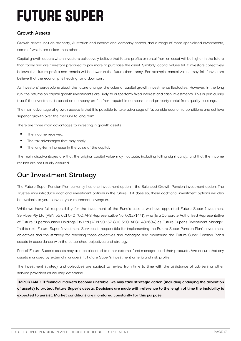## **Growth Assets**

Growth assets include property, Australian and international company shares, and a range of more specialised investments, some of which are riskier than others.

Capital growth occurs when investors collectively believe that future profits or rental from an asset will be higher in the future than today and are therefore prepared to pay more to purchase the asset. Similarly, capital values fall if investors collectively believe that future profits and rentals will be lower in the future than today. For example, capital values may fall if investors believe that the economy is heading for a downturn.

As investors' perceptions about the future change, the value of capital growth investments fluctuates. However, in the long run, the returns on capital growth investments are likely to outperform fixed interest and cash investments. This is particularly true if the investment is based on company profits from reputable companies and property rental from quality buildings.

The main advantage of growth assets is that it is possible to take advantage of favourable economic conditions and achieve superior growth over the medium to long term.

There are three main advantages to investing in growth assets:

- The income received.
- The tax advantages that may apply.
- The long-term increase in the value of the capital.

The main disadvantages are that the original capital value may fluctuate, including falling significantly, and that the income returns are not usually assured.

## **Our Investment Strategy**

The Future Super Pension Plan currently has one investment option – the Balanced Growth Pension investment option. The Trustee may introduce additional investment options in the future. If it does so, these additional investment options will also be available to you to invest your retirement savings in.

While we have full responsibility for the investment of the Fund's assets, we have appointed Future Super Investment Services Pty Ltd (ABN 55 621 040 702; AFS Representative No. 001271441), who is a Corporate Authorised Representative of Future Superannuation Holdings Pty Ltd (ABN 90 167 800 580; AFSL 482684) as Future Super's Investment Manager. In this role, Future Super Investment Services is responsible for implementing the Future Super Pension Plan's investment objectives and the strategy for reaching those objectives and managing and monitoring the Future Super Pension Plan's assets in accordance with the established objectives and strategy.

Part of Future Super's assets may also be allocated to other external fund managers and their products. We ensure that any assets managed by external managers fit Future Super's investment criteria and risk profile.

The investment strategy and objectives are subject to review from time to time with the assistance of advisers or other service providers as we may determine.

**IMPORTANT: If financial markets become unstable, we may take strategic action (including changing the allocation of assets) to protect Future Super's assets. Decisions are made with reference to the length of time the instability is expected to persist. Market conditions are monitored constantly for this purpose.**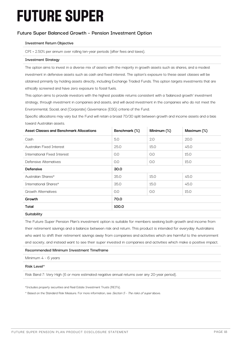## **Future Super Balanced Growth – Pension Investment Option**

#### **Investment Return Objective**

CPI + 2.50% per annum over rolling ten-year periods (after fees and taxes).

#### **Investment Strategy**

The option aims to invest in a diverse mix of assets with the majority in growth assets such as shares, and a modest investment in defensive assets such as cash and fixed interest. The option's exposure to these asset classes will be obtained primarily by holding assets directly, including Exchange Traded Funds. This option targets investments that are ethically screened and have zero exposure to fossil fuels.

This option aims to provide investors with the highest possible returns consistent with a 'balanced growth' investment strategy, through investment in companies and assets, and will avoid investment in the companies who do not meet the Environmental, Social, and (Corporate) Governance (ESG) criteria of the Fund.

Specific allocations may vary but the Fund will retain a broad 70/30 split between growth and income assets and a bias toward Australian assets.

| <b>Asset Classes and Benchmark Allocations</b> | Benchmark (%) | Minimum (%) | Maximum (%) |
|------------------------------------------------|---------------|-------------|-------------|
| Cash                                           | 5.0           | 2.0         | 20.0        |
| Australian Fixed Interest                      | 25.0          | 15.0        | 45.0        |
| <b>International Fixed Interest</b>            | 0.0           | O.O         | 15.0        |
| Defensive Alternatives                         | 0.0           | 0.0         | 15.0        |
| <b>Defensive</b>                               | 30.0          |             |             |
| Australian Shares*                             | 35.0          | 15.0        | 45.0        |
| International Shares*                          | 35.0          | 15.0        | 45.0        |
| <b>Growth Alternatives</b>                     | 0.0           | 0.0         | 15.0        |
| Growth                                         | 70.0          |             |             |
| <b>Total</b>                                   | 100.0         |             |             |
|                                                |               |             |             |

**Suitability**

The Future Super Pension Plan's investment option is suitable for members seeking both growth and income from their retirement savings and a balance between risk and return. This product is intended for everyday Australians who want to shift their retirement savings away from companies and activities which are harmful to the environment and society, and instead want to see their super invested in companies and activities which make a positive impact.

#### **Recommended Minimum Investment Timeframe**

Minimum 4 - 6 years

#### **Risk Level^**

Risk Band 7: Very High (6 or more estimated negative annual returns over any 20-year period).

\*Includes property securities and Real Estate Investment Trusts (REITs).

^ Based on the Standard Risk Measure. For more information, see Section 5 - The risks of super above.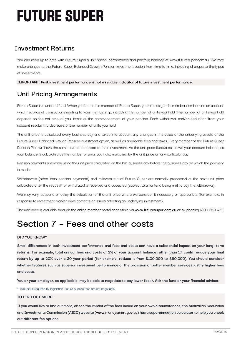## **Investment Returns**

You can keep up to date with Future Super's unit prices, performance and portfolio holdings at www.futuresuper.com.au. We may make changes to the Future Super Balanced Growth Pension investment option from time to time, including changes to the types of investments.

**IMPORTANT: Past investment performance is not a reliable indicator of future investment performance.**

## **Unit Pricing Arrangements**

Future Super is a unitised fund. When you become a member of Future Super, you are assigned a member number and an account which records all transactions relating to your membership, including the number of units you hold. The number of units you hold depends on the net amount you invest at the commencement of your pension. Each withdrawal and/or deduction from your account results in a decrease of the number of units you hold.

The unit price is calculated every business day and takes into account any changes in the value of the underlying assets of the Future Super Balanced Growth Pension investment option, as well as applicable fees and taxes. Every member of the Future Super Pension Plan will have the same unit price applied to their investment. As the unit price fluctuates, so will your account balance, as your balance is calculated as the number of units you hold, multiplied by the unit price on any particular day.

Pension payments are made using the unit price calculated on the last business day before the business day on which the payment is made.

Withdrawals (other than pension payments) and rollovers out of Future Super are normally processed at the next unit price calculated after the request for withdrawal is received and accepted (subject to all criteria being met to pay the withdrawal).

We may vary, suspend or delay the calculation of the unit price where we consider it necessary or appropriate (for example, in response to investment market developments or issues affecting an underlying investment).

The unit price is available through the online member portal accessible via **www.futuresuper.com.au** or by phoning 1300 658 422.

## **Section 7 – Fees and other costs**

#### **DID YOU KNOW?**

**Small differences in both investment performance and fees and costs can have a substantial impact on your long- term returns. For example, total annual fees and costs of 2% of your account balance rather than 1% could reduce your final return by up to 20% over a 30-year period (for example, reduce it from \$100,000 to \$80,000). You should consider whether features such as superior investment performance or the provision of better member services justify higher fees and costs.**

**You or your employer, as applicable, may be able to negotiate to pay lower fees\*. Ask the fund or your financial adviser.**

\* This text is required by legislation. Future Super's fees are not negotiable.

#### **TO FIND OUT MORE:**

**If you would like to find out more, or see the impact of the fees based on your own circumstances, the Australian Securities and Investments Commission (ASIC) website (www.moneysmart.gov.au) has a superannuation calculator to help you check out different fee options.**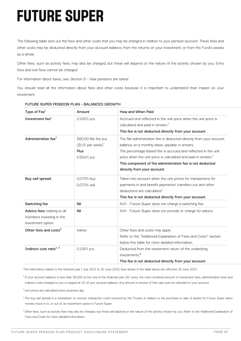The following table sets out the fees and other costs that you may be charged in relation to your pension account. These fees and other costs may be deducted directly from your account balance, from the returns on your investment, or from the Fund's assets as a whole.

Other fees, such as activity fees, may also be charged, but these will depend on the nature of the activity chosen by you. Entry fees and exit fees cannot be charged.

For information about taxes, see Section 8 - How pensions are taxed.

You should read all the information about fees and other costs because it is important to understand their impact on your investment.

| Type of Fee <sup>1</sup>            | Amount                                                     | How and When Paid                                                                                                                                                                      |
|-------------------------------------|------------------------------------------------------------|----------------------------------------------------------------------------------------------------------------------------------------------------------------------------------------|
| Investment fee <sup>2</sup>         | 0.200% p.a.                                                | Accrued and reflected in the unit price when the unit price is<br>calculated and paid in arrears. <sup>3</sup>                                                                         |
|                                     |                                                            | This fee is not deducted directly from your account.                                                                                                                                   |
| Administration fee <sup>2</sup>     | \$60.00 flat fee p.a.<br>$($ \$1.15 per week $)^7$<br>Plus | The flat administration fee is deducted directly from your account<br>balance on a monthly basis, payable in arrears.<br>The percentage-based fee is accrued and reflected in the unit |
|                                     | 0.504% p.a.                                                | price when the unit price is calculated and paid in arrears. <sup>3</sup>                                                                                                              |
|                                     |                                                            | This component of the administration fee is not deducted                                                                                                                               |
|                                     |                                                            | directly from your account.                                                                                                                                                            |
| Buy-sell spread                     | 0.070% buy                                                 | Taken into account when the unit prices for transactions for                                                                                                                           |
|                                     | 0.070% sell                                                | payments in and benefit payments/ transfers out and other                                                                                                                              |
|                                     |                                                            | deductions are calculated. <sup>4</sup>                                                                                                                                                |
|                                     |                                                            | This fee is not deducted directly from your account.                                                                                                                                   |
| Switching fee                       | Nil                                                        | N/A - Future Super does not charge a switching fee.                                                                                                                                    |
| Advice fees relating to all         | Nil                                                        | N/A - Future Super does not provide or charge for advice.                                                                                                                              |
| members investing in the            |                                                            |                                                                                                                                                                                        |
| investment option                   |                                                            |                                                                                                                                                                                        |
| Other fees and costs <sup>5</sup>   | Varies                                                     | Other fees and costs may apply.                                                                                                                                                        |
|                                     |                                                            | Refer to the "Additional Explanation of Fees and Costs" section                                                                                                                        |
|                                     |                                                            | below this table for more detailed information.                                                                                                                                        |
| Indirect cost ratio <sup>2, 6</sup> | 0.128% p.a.                                                | Deducted from the investment return of the underlying                                                                                                                                  |
|                                     |                                                            | investments. <sup>6</sup>                                                                                                                                                              |
|                                     |                                                            | This fee is not deducted directly from your account.                                                                                                                                   |

#### **FUTURE SUPER PENSION PLAN – BALANCED GROWTH**

1 This information relates to the financial year 1 July 2022 to 30 June 2023, fees shown in the table above are effective 30 June 2022.

<sup>2</sup> If your account balance is less than \$6,000 at the end of the financial year (30 June), the total combined amount of investment fees, administration fees and indirect costs charged to you is capped at 3% of your account balance. Any amount in excess of that cap must be refunded to your account.

<sup>3</sup> Unit prices are calculated every business day.

4 The buy-sell spread is a mechanism to recover transaction costs incurred by the Trustee in relation to the purchase or sale of assets for Future Super when monies move in to, or out of, an investment option in Future Super.

<sup>5</sup> Other fees, such as activity fees may also be charged, but these will depend on the nature of the activity chosen by you. Refer to the Additional Explanation of Fees and Costs for more detailed information.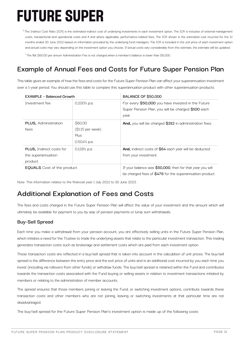<sup>6</sup> The Indirect Cost Ratio (ICR) is the estimated indirect cost of underlying investments in each investment option. The ICR is inclusive of external management costs, transactional and operational costs and if and where applicable, performance-related fees. The ICR shown is the estimated cost incurred for the 12 months ended 30 June 2022 based on information provided by the underlying fund managers. The ICR is included in the unit price of each investment option and actual costs may vary depending on the investment option you choose. If actual costs vary considerably from this estimate, the estimate will be updated.

7 The flat \$60.00 per annum Administration Fee is not charged when a member's balance is lower than \$6,000.

## **Example of Annual Fees and Costs for Future Super Pension Plan**

This table gives an example of how the fees and costs for the Future Super Pension Plan can affect your superannuation investment over a 1-year period. You should use this table to compare this superannuation product with other superannuation products.

| <b>EXAMPLE - Balanced Growth</b>                                 |                                                        | <b>BALANCE OF \$50,000</b>                                                                                            |  |
|------------------------------------------------------------------|--------------------------------------------------------|-----------------------------------------------------------------------------------------------------------------------|--|
| Investment fee                                                   | $0.200\%$ p.a.                                         | For every \$50,000 you have invested in the Future<br>Super Pension Plan, you will be charged \$100 each<br>year.     |  |
| <b>PLUS, Administration</b><br>fees                              | \$60.00<br>(\$1.15 per week)<br>Plus<br>$0.504\%$ p.a. | And, you will be charged \$312 in administration fees.                                                                |  |
| <b>PLUS, Indirect costs for</b><br>the superannuation<br>product | $0.128\%$ p.a.                                         | And, indirect costs of \$64 each year will be deducted<br>from your investment.                                       |  |
| <b>EQUALS</b> Cost of the product                                |                                                        | If your balance was \$50,000, then for that year you will<br>be charged fees of \$476 for the superannuation product. |  |

Note: This information relates to the financial year 1 July 2022 to 30 June 2023.

## **Additional Explanation of Fees and Costs**

The fees and costs charged in the Future Super Pension Plan will affect the value of your investment and the amount which will ultimately be available for payment to you by way of pension payments or lump sum withdrawals.

### **Buy-Sell Spread**

Each time you make a withdrawal from your pension account, you are effectively selling units in the Future Super Pension Plan, which initiates a need for the Trustee to trade the underlying assets that relate to the particular investment transaction. This trading generates transaction costs such as brokerage and settlement costs which are paid from each investment option.

These transaction costs are reflected in a buy/sell spread that is taken into account in the calculation of unit prices. The buy/sell spread is the difference between the entry price and the exit price of units and is an additional cost incurred by you each time you invest (including via rollovers from other funds) or withdraw funds. The buy/sell spread is retained within the Fund and contributes towards the transaction costs associated with the Fund buying or selling assets in relation to investment transactions initiated by members or relating to the administration of member accounts.

The spread ensures that those members joining or leaving the Fund, or switching investment options, contribute towards these transaction costs and other members who are not joining, leaving or switching investments at that particular time are not disadvantaged.

The buy/sell spread for the Future Super Pension Plan's investment option is made up of the following costs: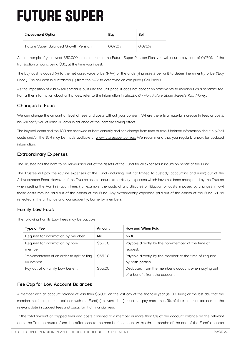| <b>Investment Option</b>             | Buv    | Sell   |
|--------------------------------------|--------|--------|
| Future Super Balanced Growth Pension | 0.070% | 0.070% |

As an example, if you invest \$50,000 in an account in the Future Super Pension Plan, you will incur a buy cost of 0.070% of the transaction amount, being \$35, at the time you invest.

The buy cost is added (+) to the net asset value price (NAV) of the underlying assets per unit to determine an entry price ('Buy Price'). The sell cost is subtracted (-) from the NAV to determine an exit price ('Sell Price').

As the imposition of a buy/sell spread is built into the unit price, it does not appear on statements to members as a separate fee. For further information about unit prices, refer to the information in Section 6 - How Future Super Invests Your Money.

## **Changes to Fees**

We can change the amount or level of fees and costs without your consent. Where there is a material increase in fees or costs, we will notify you at least 30 days in advance of the increase taking effect.

The buy/sell costs and the ICR are reviewed at least annually and can change from time to time. Updated information about buy/sell costs and/or the ICR may be made available at www.futuresuper.com.au. We recommend that you regularly check for updated information.

### **Extraordinary Expenses**

The Trustee has the right to be reimbursed out of the assets of the Fund for all expenses it incurs on behalf of the Fund.

The Trustee will pay the routine expenses of the Fund (including, but not limited to custody, accounting and audit) out of the Administration Fees. However, if the Trustee should incur extraordinary expenses which have not been anticipated by the Trustee when setting the Administration Fees (for example, the costs of any disputes or litigation or costs imposed by changes in law) those costs may be paid out of the assets of the Fund. Any extraordinary expenses paid out of the assets of the Fund will be reflected in the unit price and, consequently, borne by members.

## **Family Law Fees**

The following Family Law Fees may be payable:

| Type of Fee                                                | Amount  | How and When Paid                                                                    |
|------------------------------------------------------------|---------|--------------------------------------------------------------------------------------|
| Request for information by member                          | Nil     | N/A                                                                                  |
| Request for information by non-<br>member                  | \$55.00 | Payable directly by the non-member at the time of<br>request.                        |
| Implementation of an order to split or flag<br>an interest | \$55.00 | Payable directly by the member at the time of request<br>by both parties.            |
| Pay out of a Family Law benefit                            | \$55.00 | Deducted from the member's account when paying out<br>of a benefit from the account. |

## **Fee Cap for Low Account Balances**

A member with an account balance of less than \$6,000 on the last day of the financial year (ie, 30 June) or the last day that the member holds an account balance with the Fund) ('relevant date'), must not pay more than 3% of their account balance on the relevant date in capped fees and costs for that financial year.

If the total amount of capped fees and costs charged to a member is more than 3% of the account balance on the relevant date, the Trustee must refund the difference to the member's account within three months of the end of the Fund's income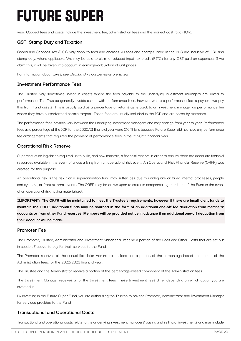year. Capped fees and costs include the investment fee, administration fees and the indirect cost ratio (ICR).

### **GST, Stamp Duty and Taxation**

Goods and Services Tax (GST) may apply to fees and charges. All fees and charges listed in the PDS are inclusive of GST and stamp duty, where applicable. We may be able to claim a reduced input tax credit (RITC) for any GST paid on expenses. If we claim this, it will be taken into account in earnings/calculation of unit prices.

For information about taxes, see Section  $8$  - How pensions are taxed.

#### **Investment Performance Fees**

The Trustee may sometimes invest in assets where the fees payable to the underlying investment managers are linked to performance. The Trustee generally avoids assets with performance fees, however where a performance fee is payable, we pay this from Fund assets. This is usually paid as a percentage of returns generated, to an investment manager as performance fee where they have outperformed certain targets. These fees are usually included in the ICR and are borne by members.

The performance fees payable vary between the underlying investment managers and may change from year to year. Performance fees as a percentage of the ICR for the 2020/21 financial year were 0%. This is because Future Super did not have any performance fee arrangements that required the payment of performance fees in the 2020/21 financial year.

#### **Operational Risk Reserve**

Superannuation legislation required us to build, and now maintain, a financial reserve in order to ensure there are adequate financial resources available in the event of a loss arising from an operational risk event. An Operational Risk Financial Reserve (ORFR) was created for this purpose.

An operational risk is the risk that a superannuation fund may suffer loss due to inadequate or failed internal processes, people and systems, or from external events. The ORFR may be drawn upon to assist in compensating members of the Fund in the event of an operational risk having materialised.

**IMPORTANT: The ORFR will be maintained to meet the Trustee's requirements, however if there are insufficient funds to maintain the ORFR, additional funds may be sourced in the form of an additional one-off fee deduction from members' accounts or from other Fund reserves. Members will be provided notice in advance if an additional one-off deduction from their account will be made.**

#### **Promoter Fee**

The Promoter, Trustee, Administrator and Investment Manager all receive a portion of the Fees and Other Costs that are set out in section 7 above, to pay for their services to the Fund.

The Promoter receives all the annual flat dollar Administration fees and a portion of the percentage-based component of the Administration fees, for the 2022/2023 financial year.

The Trustee and the Administrator receive a portion of the percentage-based component of the Administration fees.

The Investment Manager receives all of the Investment fees. These Investment fees differ depending on which option you are invested in.

By investing in the Future Super Fund, you are authorising the Trustee to pay the Promoter, Administrator and Investment Manager for services provided to the Fund.

### **Transactional and Operational Costs**

Transactional and operational costs relate to the underlying investment managers' buying and selling of investments and may include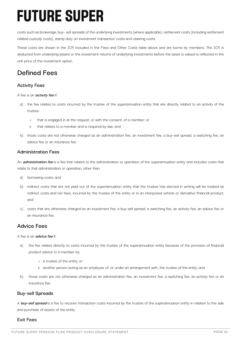costs such as brokerage, buy- sell spreads of the underlying investments (where applicable), settlement costs (including settlement related custody costs), stamp duty on investment transaction costs and clearing costs.

These costs are shown in the ICR included in the Fees and Other Costs table above and are borne by members. The ICR is deducted from underlying assets or the investment returns of underlying investments before the asset is valued is reflected in the unit price of the investment option.

## **Defined Fees**

## **Activity Fees**

A fee is an **activity fee** if:

- a) the fee relates to costs incurred by the trustee of the superannuation entity that are directly related to an activity of the trustee:
	- i. that is engaged in at the request, or with the consent, of a member; or
	- ii. that relates to a member and is required by law; and
- b) those costs are not otherwise charged as an administration fee, an investment fee, a buy-sell spread, a switching fee, an advice fee or an insurance fee.

### **Administration Fees**

An **administration fee** is a fee that relates to the administration or operation of the superannuation entity and includes costs that relate to that administration or operation, other than:

- a) borrowing costs; and
- b) indirect costs that are not paid out of the superannuation entity that the trustee has elected in writing will be treated as indirect costs and not fees, incurred by the trustee of the entity or in an interposed vehicle or derivative financial product; and
- c) costs that are otherwise charged as an investment fee, a buy-sell spread, a switching fee, an activity fee, an advice fee or an insurance fee.

## **Advice Fees**

A fee is an **advice fee** if:

- a) the fee relates directly to costs incurred by the trustee of the superannuation entity because of the provision of financial product advice to a member by:
	- i. a trustee of the entity; or
	- ii. another person acting as an employee of, or under an arrangement with, the trustee of the entity; and
- b) those costs are not otherwise charged as an administration fee, an investment fee, a switching fee, an activity fee or an insurance fee.

#### **Buy-sell Spreads**

A **buy-sell spread** is a fee to recover transaction costs incurred by the trustee of the superannuation entity in relation to the sale and purchase of assets of the entity.

#### **Exit Fees**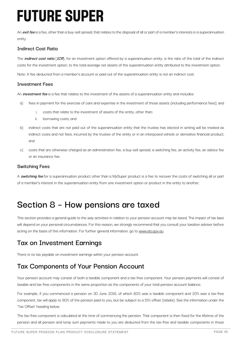An **exit fee** is a fee, other than a buy-sell spread, that relates to the disposal of all or part of a member's interests in a superannuation entity.

## **Indirect Cost Ratio**

The **indirect cost ratio** (**ICR**), for an investment option offered by a superannuation entity, is the ratio of the total of the indirect costs for the investment option, to the total average net assets of the superannuation entity attributed to the investment option.

Note: A fee deducted from a member's account or paid out of the superannuation entity is not an indirect cost.

### **Investment Fees**

An **investment fee** is a fee that relates to the investment of the assets of a superannuation entity and includes:

- a) fees in payment for the exercise of care and expertise in the investment of those assets (including performance fees); and
	- i. costs that relate to the investment of assets of the entity, other than:
	- ii. borrowing costs; and
- b) indirect costs that are not paid out of the superannuation entity that the trustee has elected in writing will be treated as indirect costs and not fees, incurred by the trustee of the entity or in an interposed vehicle or derivative financial product; and
- c) costs that are otherwise charged as an administration fee, a buy-sell spread, a switching fee, an activity fee, an advice fee or an insurance fee.

## **Switching Fees**

A **switching fee** for a superannuation product other than a MySuper product is a fee to recover the costs of switching all or part of a member's interest in the superannuation entity from one investment option or product in the entity to another.

## **Section 8 – How pensions are taxed**

This section provides a general guide to the way activities in relation to your pension account may be taxed. The impact of tax laws will depend on your personal circumstances. For this reason, we strongly recommend that you consult your taxation adviser before acting on the basis of this information. For further general information, go to www.ato.gov.au.

## **Tax on Investment Earnings**

There is no tax payable on investment earnings within your pension account.

## **Tax Components of Your Pension Account**

Your pension account may consist of both a taxable component and a tax-free component. Your pension payments will consist of taxable and tax-free components in the same proportion as the components of your total pension account balance.

For example, if you commenced a pension on 30 June 2018, of which 80% was a taxable component and 20% was a tax-free component, tax will apply to 80% of the pension paid to you, but be subject to a 15% offset (rebate). See the information under the 'Tax Offset' heading below.

The tax-free component is calculated at the time of commencing the pension. That component is then fixed for the lifetime of the pension and all pension and lump sum payments made to you are deducted from the tax-free and taxable components in those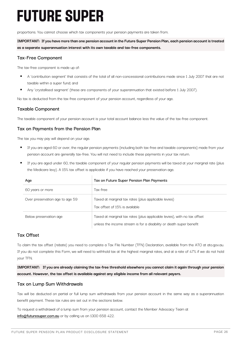proportions. You cannot choose which tax components your pension payments are taken from.

**IMPORTANT: If you have more than one pension account in the Future Super Pension Plan, each pension account is treated as a separate superannuation interest with its own taxable and tax-free components.**

#### **Tax-Free Component**

The tax-free component is made up of:

- § A 'contribution segment' that consists of the total of all non-concessional contributions made since 1 July 2007 that are not taxable within a super fund; and
- Any 'crystallised segment' (these are components of your superannuation that existed before 1 July 2007).

No tax is deducted from the tax-free component of your pension account, regardless of your age.

### **Taxable Component**

The taxable component of your pension account is your total account balance less the value of the tax-free component.

#### **Tax on Payments from the Pension Plan**

The tax you may pay will depend on your age.

- If you are aged 60 or over, the regular pension payments (including both tax-free and taxable components) made from your pension account are generally tax-free. You will not need to include these payments in your tax return.
- § If you are aged under 60, the taxable component of your regular pension payments will be taxed at your marginal rate (plus the Medicare levy). A 15% tax offset is applicable if you have reached your preservation age.

| Age                             | Tax on Future Super Pension Plan Payments                                                                                                       |
|---------------------------------|-------------------------------------------------------------------------------------------------------------------------------------------------|
| 60 years or more                | Tax-free                                                                                                                                        |
| Over preservation age to age 59 | Taxed at marginal tax rates (plus applicable levies)<br>Tax offset of 15% is available                                                          |
| Below preservation age          | Taxed at marginal tax rates (plus applicable levies), with no tax offset<br>unless the income stream is for a disability or death super benefit |

### **Tax Offset**

To claim the tax offset (rebate) you need to complete a Tax File Number (TFN) Declaration, available from the ATO at ato.gov.au. If you do not complete this Form, we will need to withhold tax at the highest marginal rates, and at a rate of 47% if we do not hold your TFN.

**IMPORTANT: If you are already claiming the tax-free threshold elsewhere you cannot claim it again through your pension account. However, the tax offset is available against any eligible income from all relevant payers.**

#### **Tax on Lump Sum Withdrawals**

Tax will be deducted on partial or full lump sum withdrawals from your pension account in the same way as a superannuation benefit payment. These tax rules are set out in the sections below.

To request a withdrawal of a lump sum from your pension account, contact the Member Advocacy Team at **info@futuresuper.com.au** or by calling us on 1300 658 422.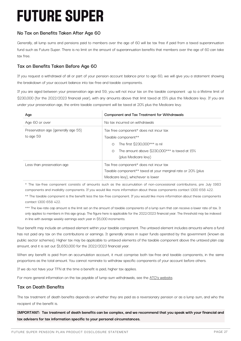## **No Tax on Benefits Taken After Age 60**

Generally, all lump sums and pensions paid to members over the age of 60 will be tax free if paid from a taxed superannuation fund such as Future Super. There is no limit on the amount of superannuation benefits that members over the age of 60 can take tax free.

### **Tax on Benefits Taken Before Age 60**

If you request a withdrawal of all or part of your pension account balance prior to age 60, we will give you a statement showing the breakdown of your account balance into tax-free and taxable components.

If you are aged between your preservation age and 59, you will not incur tax on the taxable component up to a lifetime limit of \$230,000 (for the 2022/2023 financial year), with any amounts above that limit taxed at 15% plus the Medicare levy. If you are under your preservation age, the entire taxable component will be taxed at 20% plus the Medicare levy.

| Aqe                                 | Component and Tax Treatment for Withdrawals                  |  |
|-------------------------------------|--------------------------------------------------------------|--|
| Age 60 or over                      | No tax incurred on withdrawals                               |  |
| Preservation age (generally age 55) | Tax free component* does not incur tax                       |  |
| to age 59                           | Taxable component**                                          |  |
|                                     | The first \$230,000*** is nil<br>$\circ$                     |  |
|                                     | The amount above \$230,000*** is taxed at 15%<br>$\circ$     |  |
|                                     | (plus Medicare levy)                                         |  |
| Less than preservation age          | Tax free component* does not incur tax                       |  |
|                                     | Taxable component** taxed at your marginal rate or 20% (plus |  |
|                                     | Medicare levy), whichever is lower                           |  |

\* The tax-free component consists of amounts such as the accumulation of non-concessional contributions, pre July 1983 components and invalidity components. If you would like more information about these components contact 1300 658 422.

\*\* The taxable component is the benefit less the tax-free component. If you would like more information about these components contact 1300 658 422.

\*\*\* The low-rate cap amount is the limit set on the amount of taxable components of a lump sum that can receive a lower rate of tax. It only applies to members in this age group. The figure here is applicable for the 2022/2023 financial year. The threshold may be indexed in line with average weekly earnings each year in \$5,000 increments.

Your benefit may include an untaxed element within your taxable component. The untaxed element includes amounts where a fund has not paid any tax on the contributions or earnings. It generally arises in super funds operated by the government (known as public sector schemes). Higher tax may be applicable to untaxed elements of the taxable component above the untaxed plan cap amount, and it is set out \$1,650,000 for the 2022/2023 financial year.

When any benefit is paid from an accumulation account, it must comprise both tax-free and taxable components, in the same proportions as the total amount. You cannot nominate to withdraw specific components of your account before others.

If we do not have your TFN at the time a benefit is paid, higher tax applies.

For more general information on the tax payable of lump-sum withdrawals, see the ATO's website.

## **Tax on Death Benefits**

The tax treatment of death benefits depends on whether they are paid as a reversionary pension or as a lump sum, and who the recipient of the benefit is.

**IMPORTANT: Tax treatment of death benefits can be complex, and we recommend that you speak with your financial and tax advisers for tax information specific to your personal circumstances.**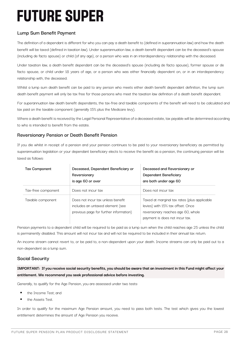## **Lump Sum Benefit Payment**

The definition of a dependant is different for who you can pay a death benefit to (defined in superannuation law) and how the death benefit will be taxed (defined in taxation law). Under superannuation law, a death benefit dependant can be the deceased's spouse (including de facto spouse) or child (of any age), or a person who was in an interdependency relationship with the deceased.

Under taxation law, a death benefit dependant can be the deceased's spouse (including de facto spouse), former spouse or de facto spouse, or child under 18 years of age, or a person who was either financially dependent on, or in an interdependency relationship with, the deceased.

Whilst a lump sum death benefit can be paid to any person who meets either death benefit dependant definition, the lump sum death benefit payment will only be tax free for those persons who meet the taxation law definition of a death benefit dependant.

For superannuation law death benefit dependants, the tax-free and taxable components of the benefit will need to be calculated and tax paid on the taxable component (generally 15% plus the Medicare levy).

Where a death benefit is received by the Legal Personal Representative of a deceased estate, tax payable will be determined according to who is intended to benefit from the estate.

### **Reversionary Pension or Death Benefit Pension**

If you die whilst in receipt of a pension and your pension continues to be paid to your reversionary beneficiary as permitted by superannuation legislation or your dependant beneficiary elects to receive the benefit as a pension, the continuing pension will be taxed as follows:

| <b>Tax Component</b> | Deceased, Dependant Beneficiary or<br>Reversionary<br>is age 60 or over                                         | Deceased and Reversionary or<br>Dependant Beneficiary<br>are both under age 60                                                                            |
|----------------------|-----------------------------------------------------------------------------------------------------------------|-----------------------------------------------------------------------------------------------------------------------------------------------------------|
| Tax-free component   | Does not incur tax                                                                                              | Does not incur tax                                                                                                                                        |
| Taxable component    | Does not incur tax unless benefit<br>includes an untaxed element (see<br>previous page for further information) | Taxed at marginal tax rates (plus applicable<br>levies) with 15% tax offset. Once<br>reversionary reaches age 60, whole<br>payment is does not incur tax. |

Pension payments to a dependent child will be required to be paid as a lump sum when the child reaches age 25 unless the child is permanently disabled. This amount will not incur tax and will not be required to be included in their annual tax return.

An income stream cannot revert to, or be paid to, a non-dependent upon your death. Income streams can only be paid out to a non-dependent as a lump sum.

## **Social Security**

**IMPORTANT: If you receive social security benefits, you should be aware that an investment in this Fund might affect your entitlement. We recommend you seek professional advice before investing.**

Generally, to qualify for the Age Pension, you are assessed under two tests:

- § the Income Test; and
- the Assets Test.

In order to qualify for the maximum Age Pension amount, you need to pass both tests. The test which gives you the lowest entitlement determines the amount of Age Pension you receive.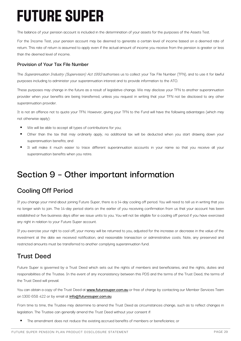The balance of your pension account is included in the determination of your assets for the purposes of the Assets Test.

For the Income Test, your pension account may be deemed to generate a certain level of income based on a deemed rate of return. This rate of return is assumed to apply even if the actual amount of income you receive from the pension is greater or less than the deemed level of income.

#### **Provision of Your Tax File Number**

The Superannuation Industry (Supervision) Act 1993 authorises us to collect your Tax File Number (TFN), and to use it for lawful purposes including to administer your superannuation interest and to provide information to the ATO.

These purposes may change in the future as a result of legislative change. We may disclose your TFN to another superannuation provider when your benefits are being transferred, unless you request in writing that your TFN not be disclosed to any other superannuation provider.

It is not an offence not to quote your TFN. However, giving your TFN to the Fund will have the following advantages (which may not otherwise apply):

- We will be able to accept all types of contributions for you;
- § Other than the tax that may ordinarily apply, no additional tax will be deducted when you start drawing down your superannuation benefits; and
- It will make it much easier to trace different superannuation accounts in your name so that you receive all your superannuation benefits when you retire.

## **Section 9 – Other important information**

## **Cooling Off Period**

If you change your mind about joining Future Super, there is a 14-day cooling off period. You will need to tell us in writing that you no longer wish to join. The 14-day period starts on the earlier of you receiving confirmation from us that your account has been established or five business days after we issue units to you. You will not be eligible for a cooling off period if you have exercised any right in relation to your Future Super account.

If you exercise your right to cool off, your money will be returned to you, adjusted for the increase or decrease in the value of the investment at the date we received notification, and reasonable transaction or administrative costs. Note, any preserved and restricted amounts must be transferred to another complying superannuation fund.

## **Trust Deed**

Future Super is governed by a Trust Deed which sets out the rights of members and beneficiaries, and the rights, duties and responsibilities of the Trustee. In the event of any inconsistency between this PDS and the terms of the Trust Deed, the terms of the Trust Deed will prevail.

You can obtain a copy of the Trust Deed at **www.futuresuper.com.au** or free of charge by contacting our Member Services Team on 1300 658 422 or by email at **info@futuresuper.com.au**.

From time to time, the Trustee may determine to amend the Trust Deed as circumstances change, such as to reflect changes in legislation. The Trustee can generally amend the Trust Deed without your consent if:

The amendment does not reduce the existing accrued benefits of members or beneficiaries; or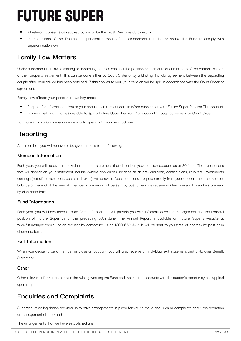- All relevant consents as required by law or by the Trust Deed are obtained; or
- In the opinion of the Trustee, the principal purpose of the amendment is to better enable the Fund to comply with superannuation law.

## **Family Law Matters**

Under superannuation law, divorcing or separating couples can split the pension entitlements of one or both of the partners as part of their property settlement. This can be done either by Court Order or by a binding financial agreement between the separating couple after legal advice has been obtained. If this applies to you, your pension will be split in accordance with the Court Order or agreement.

Family Law affects your pension in two key areas:

- Request for information You or your spouse can request certain information about your Future Super Pension Plan account.
- Payment splitting Parties are able to split a Future Super Pension Plan account through agreement or Court Order.

For more information, we encourage you to speak with your legal adviser.

## **Reporting**

As a member, you will receive or be given access to the following:

#### **Member Information**

Each year, you will receive an individual member statement that describes your pension account as at 30 June. The transactions that will appear on your statement include (where applicable): balance as at previous year, contributions, rollovers, investments earnings (net of relevant fees, costs and taxes), withdrawals, fees, costs and tax paid directly from your account and the member balance at the end of the year. All member statements will be sent by post unless we receive written consent to send a statement by electronic form.

### **Fund Information**

Each year, you will have access to an Annual Report that will provide you with information on the management and the financial position of Future Super as at the preceding 30th June. The Annual Report is available on Future Super's website at www.futuresuper.com.au or on request by contacting us on 1300 658 422. It will be sent to you (free of charge) by post or in electronic form.

### **Exit Information**

When you cease to be a member or close an account, you will also receive an individual exit statement and a Rollover Benefit Statement.

#### **Other**

Other relevant information, such as the rules governing the Fund and the audited accounts with the auditor's report may be supplied upon request.

## **Enquiries and Complaints**

Superannuation legislation requires us to have arrangements in place for you to make enquiries or complaints about the operation or management of the Fund.

The arrangements that we have established are: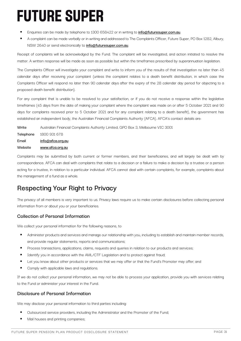- § Enquiries can be made by telephone to 1300 658422 or in writing to **info@futuresuper.com.au**.
- § A complaint can be made verbally or in writing and addressed to The Complaints Officer, Future Super, PO Box 1282, Albury, NSW 2640 or send electronically to **info@futuresuper.com.au**.

Receipt of complaints will be acknowledged by the Fund. The complaint will be investigated, and action initiated to resolve the matter. A written response will be made as soon as possible but within the timeframes prescribed by superannuation legislation.

The Complaints Officer will investigate your complaint and write to inform you of the results of that investigation no later than 45 calendar days after receiving your complaint (unless the complaint relates to a death benefit distribution, in which case the Complaints Officer will respond no later than 90 calendar days after the expiry of the 28 calendar day period for objecting to a proposed death benefit distribution).

For any complaint that is unable to be resolved to your satisfaction, or if you do not receive a response within the legislative timeframes (45 days from the date of making your complaint where the complaint was made on or after 5 October 2021 and 90 days for complaints received prior to 5 October 2021 and for any complaint relating to a death benefit), the government has established an independent body, the Australian Financial Complaints Authority (AFCA). AFCA's contact details are:

**Write** Australian Financial Complaints Authority Limited, GPO Box 3, Melbourne VIC 3001 **Telephone** 1800 931 678 **Email info@afca.org.au Website www.afca.org.au**

Complaints may be submitted by both current or former members, and their beneficiaries, and will largely be dealt with by correspondence. AFCA can deal with complaints that relate to a decision or a failure to make a decision by a trustee or a person acting for a trustee, in relation to a particular individual. AFCA cannot deal with certain complaints, for example, complaints about the management of a fund as a whole.

## **Respecting Your Right to Privacy**

The privacy of all members is very important to us. Privacy laws require us to make certain disclosures before collecting personal information from or about you or your beneficiaries.

## **Collection of Personal Information**

We collect your personal information for the following reasons, to:

- § Administer products and services and manage our relationship with you, including to establish and maintain member records, and provide regular statements, reports and communications;
- Process transactions, applications, claims, requests and queries in relation to our products and services;
- Identify you in accordance with the AML/CTF Legislation and to protect against fraud;
- Let you know about other products or services that we may offer or that the Fund's Promoter may offer; and
- Comply with applicable laws and requlations.

If we do not collect your personal information, we may not be able to process your application, provide you with services relating to the Fund or administer your interest in the Fund.

## **Disclosure of Personal Information**

We may disclose your personal information to third parties including:

- <sup>■</sup> Outsourced service providers, including the Administrator and the Promoter of the Fund;
- § Mail houses and printing companies;